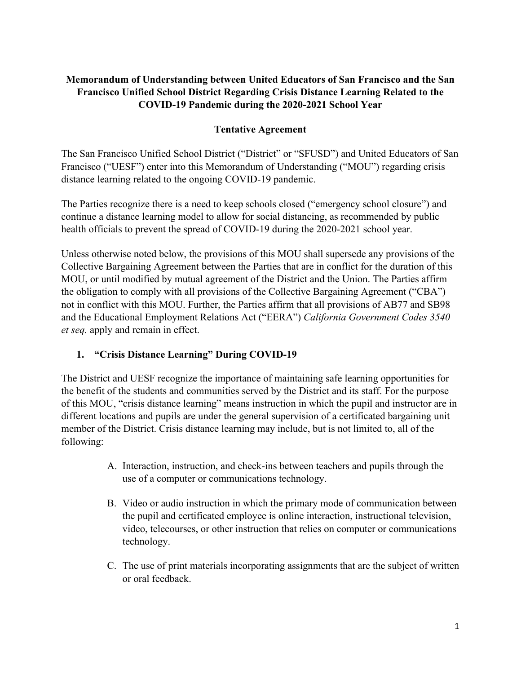## **Memorandum of Understanding between United Educators of San Francisco and the San Francisco Unified School District Regarding Crisis Distance Learning Related to the COVID-19 Pandemic during the 2020-2021 School Year**

### **Tentative Agreement**

The San Francisco Unified School District ("District" or "SFUSD") and United Educators of San Francisco ("UESF") enter into this Memorandum of Understanding ("MOU") regarding crisis distance learning related to the ongoing COVID-19 pandemic.

The Parties recognize there is a need to keep schools closed ("emergency school closure") and continue a distance learning model to allow for social distancing, as recommended by public health officials to prevent the spread of COVID-19 during the 2020-2021 school year.

Unless otherwise noted below, the provisions of this MOU shall supersede any provisions of the Collective Bargaining Agreement between the Parties that are in conflict for the duration of this MOU, or until modified by mutual agreement of the District and the Union. The Parties affirm the obligation to comply with all provisions of the Collective Bargaining Agreement ("CBA") not in conflict with this MOU. Further, the Parties affirm that all provisions of AB77 and SB98 and the Educational Employment Relations Act ("EERA") *California Government Codes 3540 et seq.* apply and remain in effect.

### **1. "Crisis Distance Learning" During COVID-19**

The District and UESF recognize the importance of maintaining safe learning opportunities for the benefit of the students and communities served by the District and its staff. For the purpose of this MOU, "crisis distance learning" means instruction in which the pupil and instructor are in different locations and pupils are under the general supervision of a certificated bargaining unit member of the District. Crisis distance learning may include, but is not limited to, all of the following:

- A. Interaction, instruction, and check-ins between teachers and pupils through the use of a computer or communications technology.
- B. Video or audio instruction in which the primary mode of communication between the pupil and certificated employee is online interaction, instructional television, video, telecourses, or other instruction that relies on computer or communications technology.
- C. The use of print materials incorporating assignments that are the subject of written or oral feedback.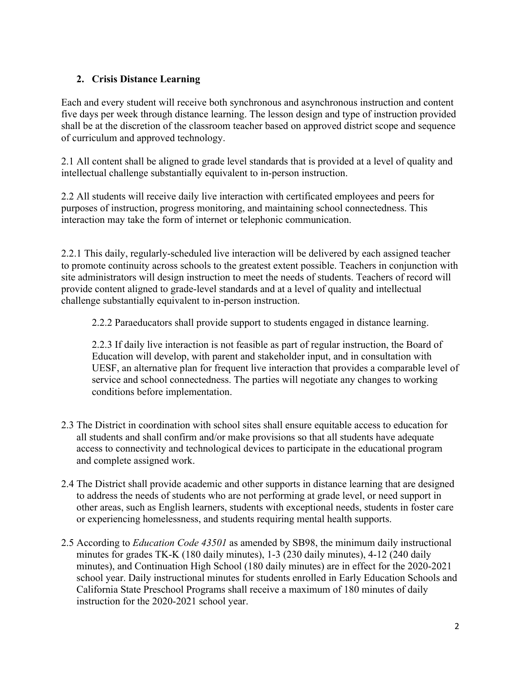## **2. Crisis Distance Learning**

Each and every student will receive both synchronous and asynchronous instruction and content five days per week through distance learning. The lesson design and type of instruction provided shall be at the discretion of the classroom teacher based on approved district scope and sequence of curriculum and approved technology.

2.1 All content shall be aligned to grade level standards that is provided at a level of quality and intellectual challenge substantially equivalent to in-person instruction.

2.2 All students will receive daily live interaction with certificated employees and peers for purposes of instruction, progress monitoring, and maintaining school connectedness. This interaction may take the form of internet or telephonic communication.

2.2.1 This daily, regularly-scheduled live interaction will be delivered by each assigned teacher to promote continuity across schools to the greatest extent possible. Teachers in conjunction with site administrators will design instruction to meet the needs of students. Teachers of record will provide content aligned to grade-level standards and at a level of quality and intellectual challenge substantially equivalent to in-person instruction.

2.2.2 Paraeducators shall provide support to students engaged in distance learning.

2.2.3 If daily live interaction is not feasible as part of regular instruction, the Board of Education will develop, with parent and stakeholder input, and in consultation with UESF, an alternative plan for frequent live interaction that provides a comparable level of service and school connectedness. The parties will negotiate any changes to working conditions before implementation.

- 2.3 The District in coordination with school sites shall ensure equitable access to education for all students and shall confirm and/or make provisions so that all students have adequate access to connectivity and technological devices to participate in the educational program and complete assigned work.
- 2.4 The District shall provide academic and other supports in distance learning that are designed to address the needs of students who are not performing at grade level, or need support in other areas, such as English learners, students with exceptional needs, students in foster care or experiencing homelessness, and students requiring mental health supports.
- 2.5 According to *Education Code 43501* as amended by SB98, the minimum daily instructional minutes for grades TK-K (180 daily minutes), 1-3 (230 daily minutes), 4-12 (240 daily minutes), and Continuation High School (180 daily minutes) are in effect for the 2020-2021 school year. Daily instructional minutes for students enrolled in Early Education Schools and California State Preschool Programs shall receive a maximum of 180 minutes of daily instruction for the 2020-2021 school year.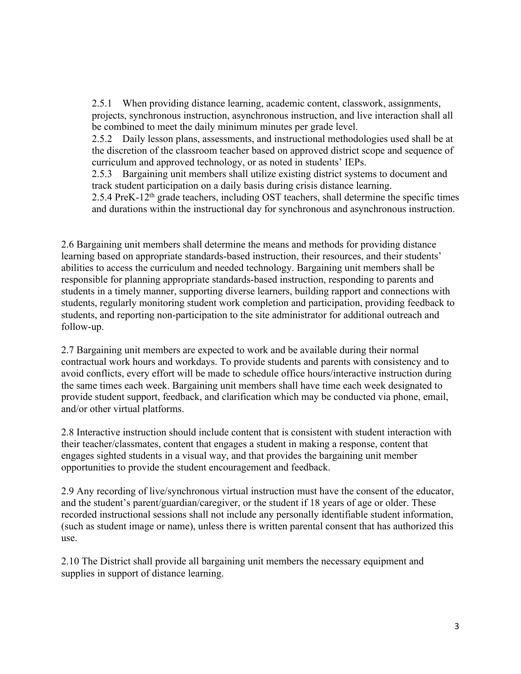2.5.1 When providing distance learning, academic content, classwork, assignments, projects, synchronous instruction, asynchronous instruction, and live interaction shall all be combined to meet the daily minimum minutes per grade level.

2.5.2 Daily lesson plans, assessments, and instructional methodologies used shall be at the discretion of the classroom teacher based on approved district scope and sequence of curriculum and approved technology, or as noted in students' IEPs.

2.5.3 Bargaining unit members shall utilize existing district systems to document and track student participation on a daily basis during crisis distance learning.

2.5.4 PreK-12<sup>th</sup> grade teachers, including OST teachers, shall determine the specific times and durations within the instructional day for synchronous and asynchronous instruction.

2.6 Bargaining unit members shall determine the means and methods for providing distance learning based on appropriate standards-based instruction, their resources, and their students' abilities to access the curriculum and needed technology. Bargaining unit members shall be responsible for planning appropriate standards-based instruction, responding to parents and students in a timely manner, supporting diverse learners, building rapport and connections with students, regularly monitoring student work completion and participation, providing feedback to students, and reporting non-participation to the site administrator for additional outreach and follow-up.

2.7 Bargaining unit members are expected to work and be available during their normal contractual work hours and workdays. To provide students and parents with consistency and to avoid conflicts, every effort will be made to schedule office hours/interactive instruction during the same times each week. Bargaining unit members shall have time each week designated to provide student support, feedback, and clarification which may be conducted via phone, email, and/or other virtual platforms.

2.8 Interactive instruction should include content that is consistent with student interaction with their teacher/classmates, content that engages a student in making a response, content that engages sighted students in a visual way, and that provides the bargaining unit member opportunities to provide the student encouragement and feedback.

2.9 Any recording of live/synchronous virtual instruction must have the consent of the educator, and the student's parent/guardian/caregiver, or the student if 18 years of age or older. These recorded instructional sessions shall not include any personally identifiable student information, (such as student image or name), unless there is written parental consent that has authorized this use.

2.10 The District shall provide all bargaining unit members the necessary equipment and supplies in support of distance learning.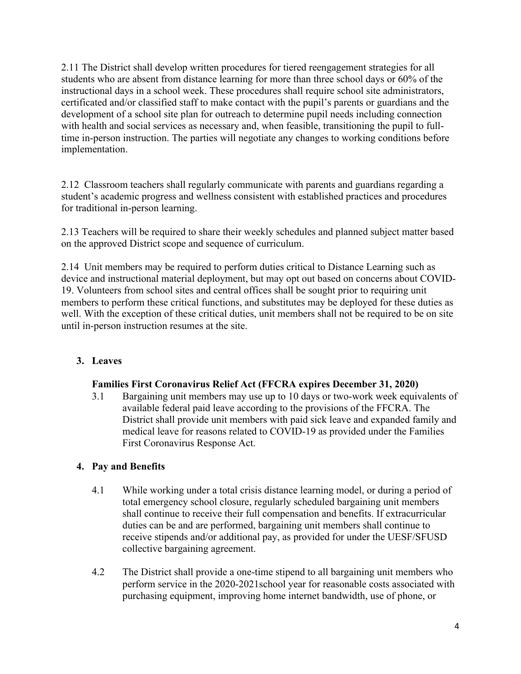2.11 The District shall develop written procedures for tiered reengagement strategies for all students who are absent from distance learning for more than three school days or 60% of the instructional days in a school week. These procedures shall require school site administrators, certificated and/or classified staff to make contact with the pupil's parents or guardians and the development of a school site plan for outreach to determine pupil needs including connection with health and social services as necessary and, when feasible, transitioning the pupil to fulltime in-person instruction. The parties will negotiate any changes to working conditions before implementation.

2.12 Classroom teachers shall regularly communicate with parents and guardians regarding a student's academic progress and wellness consistent with established practices and procedures for traditional in-person learning.

2.13 Teachers will be required to share their weekly schedules and planned subject matter based on the approved District scope and sequence of curriculum.

2.14 Unit members may be required to perform duties critical to Distance Learning such as device and instructional material deployment, but may opt out based on concerns about COVID-19. Volunteers from school sites and central offices shall be sought prior to requiring unit members to perform these critical functions, and substitutes may be deployed for these duties as well. With the exception of these critical duties, unit members shall not be required to be on site until in-person instruction resumes at the site.

## **3. Leaves**

### **Families First Coronavirus Relief Act (FFCRA expires December 31, 2020)**

3.1 Bargaining unit members may use up to 10 days or two-work week equivalents of available federal paid leave according to the provisions of the FFCRA. The District shall provide unit members with paid sick leave and expanded family and medical leave for reasons related to COVID-19 as provided under the Families First Coronavirus Response Act.

### **4. Pay and Benefits**

- 4.1 While working under a total crisis distance learning model, or during a period of total emergency school closure, regularly scheduled bargaining unit members shall continue to receive their full compensation and benefits. If extracurricular duties can be and are performed, bargaining unit members shall continue to receive stipends and/or additional pay, as provided for under the UESF/SFUSD collective bargaining agreement.
- 4.2 The District shall provide a one-time stipend to all bargaining unit members who perform service in the 2020-2021school year for reasonable costs associated with purchasing equipment, improving home internet bandwidth, use of phone, or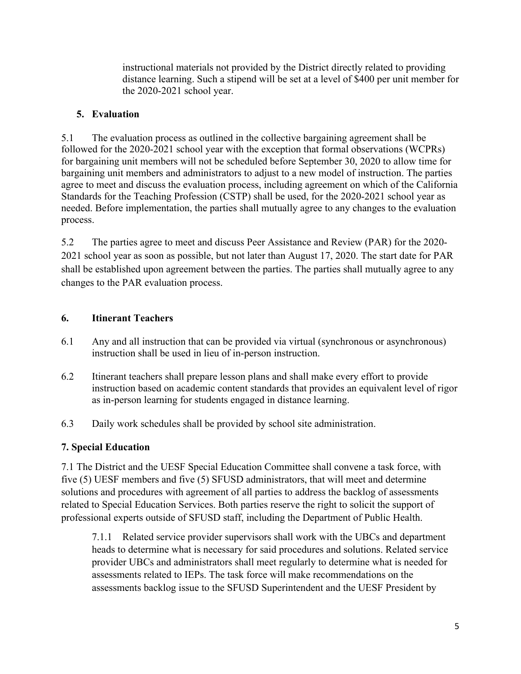instructional materials not provided by the District directly related to providing distance learning. Such a stipend will be set at a level of \$400 per unit member for the 2020-2021 school year.

# **5. Evaluation**

5.1 The evaluation process as outlined in the collective bargaining agreement shall be followed for the 2020-2021 school year with the exception that formal observations (WCPRs) for bargaining unit members will not be scheduled before September 30, 2020 to allow time for bargaining unit members and administrators to adjust to a new model of instruction. The parties agree to meet and discuss the evaluation process, including agreement on which of the California Standards for the Teaching Profession (CSTP) shall be used, for the 2020-2021 school year as needed. Before implementation, the parties shall mutually agree to any changes to the evaluation process.

5.2 The parties agree to meet and discuss Peer Assistance and Review (PAR) for the 2020- 2021 school year as soon as possible, but not later than August 17, 2020. The start date for PAR shall be established upon agreement between the parties. The parties shall mutually agree to any changes to the PAR evaluation process.

# **6. Itinerant Teachers**

- 6.1 Any and all instruction that can be provided via virtual (synchronous or asynchronous) instruction shall be used in lieu of in-person instruction.
- 6.2 Itinerant teachers shall prepare lesson plans and shall make every effort to provide instruction based on academic content standards that provides an equivalent level of rigor as in-person learning for students engaged in distance learning.
- 6.3 Daily work schedules shall be provided by school site administration.

# **7. Special Education**

7.1 The District and the UESF Special Education Committee shall convene a task force, with five (5) UESF members and five (5) SFUSD administrators, that will meet and determine solutions and procedures with agreement of all parties to address the backlog of assessments related to Special Education Services. Both parties reserve the right to solicit the support of professional experts outside of SFUSD staff, including the Department of Public Health.

7.1.1 Related service provider supervisors shall work with the UBCs and department heads to determine what is necessary for said procedures and solutions. Related service provider UBCs and administrators shall meet regularly to determine what is needed for assessments related to IEPs. The task force will make recommendations on the assessments backlog issue to the SFUSD Superintendent and the UESF President by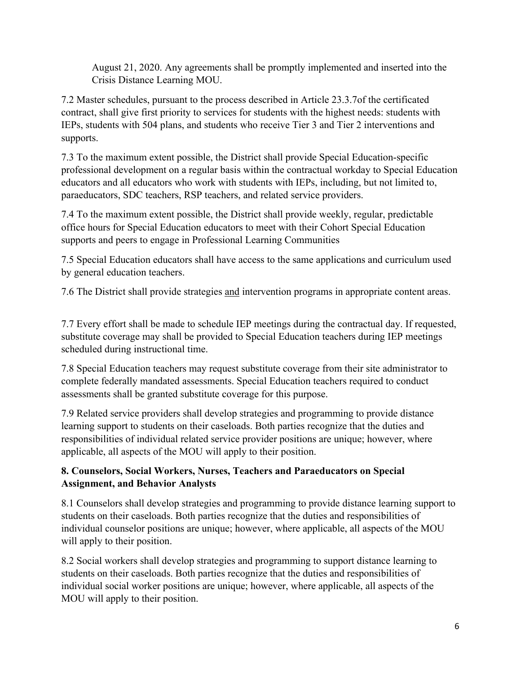August 21, 2020. Any agreements shall be promptly implemented and inserted into the Crisis Distance Learning MOU.

7.2 Master schedules, pursuant to the process described in Article 23.3.7of the certificated contract, shall give first priority to services for students with the highest needs: students with IEPs, students with 504 plans, and students who receive Tier 3 and Tier 2 interventions and supports.

7.3 To the maximum extent possible, the District shall provide Special Education-specific professional development on a regular basis within the contractual workday to Special Education educators and all educators who work with students with IEPs, including, but not limited to, paraeducators, SDC teachers, RSP teachers, and related service providers.

7.4 To the maximum extent possible, the District shall provide weekly, regular, predictable office hours for Special Education educators to meet with their Cohort Special Education supports and peers to engage in Professional Learning Communities

7.5 Special Education educators shall have access to the same applications and curriculum used by general education teachers.

7.6 The District shall provide strategies and intervention programs in appropriate content areas.

7.7 Every effort shall be made to schedule IEP meetings during the contractual day. If requested, substitute coverage may shall be provided to Special Education teachers during IEP meetings scheduled during instructional time.

7.8 Special Education teachers may request substitute coverage from their site administrator to complete federally mandated assessments. Special Education teachers required to conduct assessments shall be granted substitute coverage for this purpose.

7.9 Related service providers shall develop strategies and programming to provide distance learning support to students on their caseloads. Both parties recognize that the duties and responsibilities of individual related service provider positions are unique; however, where applicable, all aspects of the MOU will apply to their position.

## **8. Counselors, Social Workers, Nurses, Teachers and Paraeducators on Special Assignment, and Behavior Analysts**

8.1 Counselors shall develop strategies and programming to provide distance learning support to students on their caseloads. Both parties recognize that the duties and responsibilities of individual counselor positions are unique; however, where applicable, all aspects of the MOU will apply to their position.

8.2 Social workers shall develop strategies and programming to support distance learning to students on their caseloads. Both parties recognize that the duties and responsibilities of individual social worker positions are unique; however, where applicable, all aspects of the MOU will apply to their position.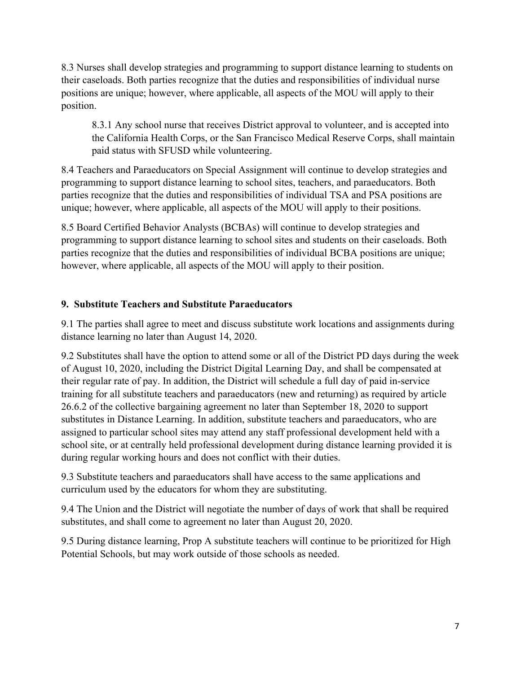8.3 Nurses shall develop strategies and programming to support distance learning to students on their caseloads. Both parties recognize that the duties and responsibilities of individual nurse positions are unique; however, where applicable, all aspects of the MOU will apply to their position.

8.3.1 Any school nurse that receives District approval to volunteer, and is accepted into the California Health Corps, or the San Francisco Medical Reserve Corps, shall maintain paid status with SFUSD while volunteering.

8.4 Teachers and Paraeducators on Special Assignment will continue to develop strategies and programming to support distance learning to school sites, teachers, and paraeducators. Both parties recognize that the duties and responsibilities of individual TSA and PSA positions are unique; however, where applicable, all aspects of the MOU will apply to their positions.

8.5 Board Certified Behavior Analysts (BCBAs) will continue to develop strategies and programming to support distance learning to school sites and students on their caseloads. Both parties recognize that the duties and responsibilities of individual BCBA positions are unique; however, where applicable, all aspects of the MOU will apply to their position.

## **9. Substitute Teachers and Substitute Paraeducators**

9.1 The parties shall agree to meet and discuss substitute work locations and assignments during distance learning no later than August 14, 2020.

9.2 Substitutes shall have the option to attend some or all of the District PD days during the week of August 10, 2020, including the District Digital Learning Day, and shall be compensated at their regular rate of pay. In addition, the District will schedule a full day of paid in-service training for all substitute teachers and paraeducators (new and returning) as required by article 26.6.2 of the collective bargaining agreement no later than September 18, 2020 to support substitutes in Distance Learning. In addition, substitute teachers and paraeducators, who are assigned to particular school sites may attend any staff professional development held with a school site, or at centrally held professional development during distance learning provided it is during regular working hours and does not conflict with their duties.

9.3 Substitute teachers and paraeducators shall have access to the same applications and curriculum used by the educators for whom they are substituting.

9.4 The Union and the District will negotiate the number of days of work that shall be required substitutes, and shall come to agreement no later than August 20, 2020.

9.5 During distance learning, Prop A substitute teachers will continue to be prioritized for High Potential Schools, but may work outside of those schools as needed.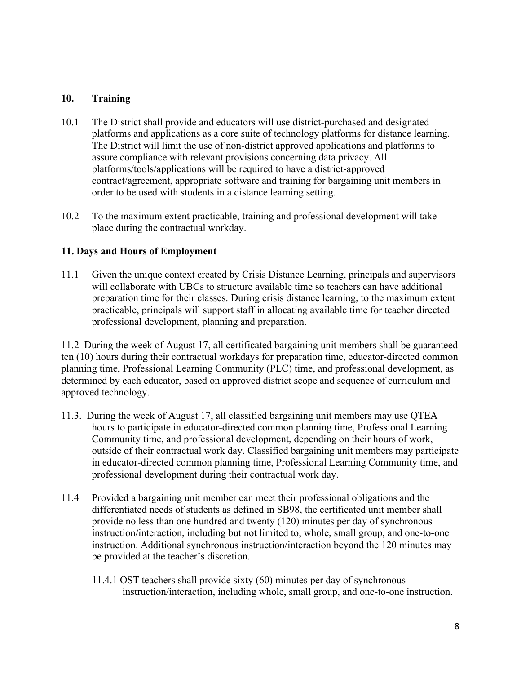### **10. Training**

- 10.1 The District shall provide and educators will use district-purchased and designated platforms and applications as a core suite of technology platforms for distance learning. The District will limit the use of non-district approved applications and platforms to assure compliance with relevant provisions concerning data privacy. All platforms/tools/applications will be required to have a district-approved contract/agreement, appropriate software and training for bargaining unit members in order to be used with students in a distance learning setting.
- 10.2 To the maximum extent practicable, training and professional development will take place during the contractual workday.

### **11. Days and Hours of Employment**

11.1 Given the unique context created by Crisis Distance Learning, principals and supervisors will collaborate with UBCs to structure available time so teachers can have additional preparation time for their classes. During crisis distance learning, to the maximum extent practicable, principals will support staff in allocating available time for teacher directed professional development, planning and preparation.

11.2 During the week of August 17, all certificated bargaining unit members shall be guaranteed ten (10) hours during their contractual workdays for preparation time, educator-directed common planning time, Professional Learning Community (PLC) time, and professional development, as determined by each educator, based on approved district scope and sequence of curriculum and approved technology.

- 11.3. During the week of August 17, all classified bargaining unit members may use QTEA hours to participate in educator-directed common planning time, Professional Learning Community time, and professional development, depending on their hours of work, outside of their contractual work day. Classified bargaining unit members may participate in educator-directed common planning time, Professional Learning Community time, and professional development during their contractual work day.
- 11.4 Provided a bargaining unit member can meet their professional obligations and the differentiated needs of students as defined in SB98, the certificated unit member shall provide no less than one hundred and twenty (120) minutes per day of synchronous instruction/interaction, including but not limited to, whole, small group, and one-to-one instruction. Additional synchronous instruction/interaction beyond the 120 minutes may be provided at the teacher's discretion.
	- 11.4.1 OST teachers shall provide sixty (60) minutes per day of synchronous instruction/interaction, including whole, small group, and one-to-one instruction.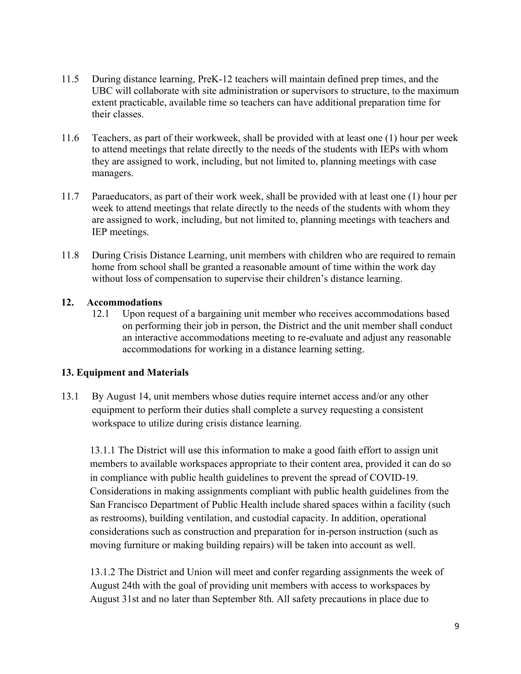- 11.5 During distance learning, PreK-12 teachers will maintain defined prep times, and the UBC will collaborate with site administration or supervisors to structure, to the maximum extent practicable, available time so teachers can have additional preparation time for their classes.
- 11.6 Teachers, as part of their workweek, shall be provided with at least one (1) hour per week to attend meetings that relate directly to the needs of the students with IEPs with whom they are assigned to work, including, but not limited to, planning meetings with case managers.
- 11.7 Paraeducators, as part of their work week, shall be provided with at least one (1) hour per week to attend meetings that relate directly to the needs of the students with whom they are assigned to work, including, but not limited to, planning meetings with teachers and IEP meetings.
- 11.8 During Crisis Distance Learning, unit members with children who are required to remain home from school shall be granted a reasonable amount of time within the work day without loss of compensation to supervise their children's distance learning.

### **12. Accommodations**

12.1 Upon request of a bargaining unit member who receives accommodations based on performing their job in person, the District and the unit member shall conduct an interactive accommodations meeting to re-evaluate and adjust any reasonable accommodations for working in a distance learning setting.

### **13. Equipment and Materials**

13.1 By August 14, unit members whose duties require internet access and/or any other equipment to perform their duties shall complete a survey requesting a consistent workspace to utilize during crisis distance learning.

13.1.1 The District will use this information to make a good faith effort to assign unit members to available workspaces appropriate to their content area, provided it can do so in compliance with public health guidelines to prevent the spread of COVID-19. Considerations in making assignments compliant with public health guidelines from the San Francisco Department of Public Health include shared spaces within a facility (such as restrooms), building ventilation, and custodial capacity. In addition, operational considerations such as construction and preparation for in-person instruction (such as moving furniture or making building repairs) will be taken into account as well.

13.1.2 The District and Union will meet and confer regarding assignments the week of August 24th with the goal of providing unit members with access to workspaces by August 31st and no later than September 8th. All safety precautions in place due to